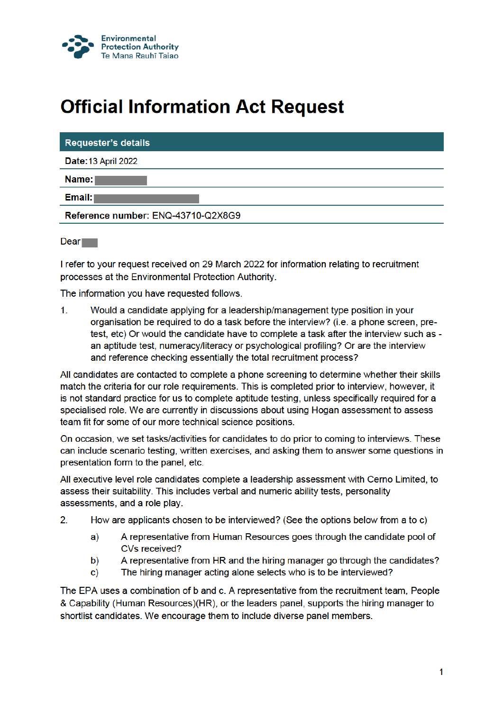

## **Official Information Act Request**

| <b>Requester's details</b>         |
|------------------------------------|
| <b>Date: 13 April 2022</b>         |
| Name:                              |
| Email:1                            |
| Reference number: ENQ-43710-Q2X8G9 |
|                                    |

 $Dear$ 

I refer to your request received on 29 March 2022 for information relating to recruitment processes at the Environmental Protection Authority.

The information you have requested follows.

 $1<sub>1</sub>$ Would a candidate applying for a leadership/management type position in your organisation be required to do a task before the interview? (i.e. a phone screen, pretest, etc) Or would the candidate have to complete a task after the interview such as an aptitude test, numeracy/literacy or psychological profiling? Or are the interview and reference checking essentially the total recruitment process?

All candidates are contacted to complete a phone screening to determine whether their skills match the criteria for our role requirements. This is completed prior to interview, however, it is not standard practice for us to complete aptitude testing, unless specifically required for a specialised role. We are currently in discussions about using Hogan assessment to assess team fit for some of our more technical science positions.

On occasion, we set tasks/activities for candidates to do prior to coming to interviews. These can include scenario testing, written exercises, and asking them to answer some questions in presentation form to the panel, etc.

All executive level role candidates complete a leadership assessment with Cerno Limited, to assess their suitability. This includes verbal and numeric ability tests, personality assessments, and a role play.

- $2<sub>1</sub>$ How are applicants chosen to be interviewed? (See the options below from a to c)
	- A representative from Human Resources goes through the candidate pool of a) CVs received?
	- A representative from HR and the hiring manager go through the candidates? b)
	- The hiring manager acting alone selects who is to be interviewed? c)

The EPA uses a combination of b and c. A representative from the recruitment team, People & Capability (Human Resources)(HR), or the leaders panel, supports the hiring manager to shortlist candidates. We encourage them to include diverse panel members.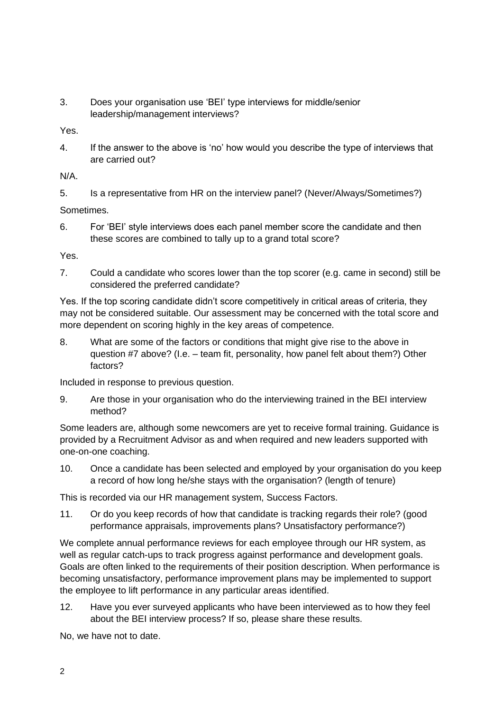3. Does your organisation use 'BEI' type interviews for middle/senior leadership/management interviews?

Yes.

4. If the answer to the above is 'no' how would you describe the type of interviews that are carried out?

N/A.

5. Is a representative from HR on the interview panel? (Never/Always/Sometimes?)

Sometimes.

6. For 'BEI' style interviews does each panel member score the candidate and then these scores are combined to tally up to a grand total score?

Yes.

7. Could a candidate who scores lower than the top scorer (e.g. came in second) still be considered the preferred candidate?

Yes. If the top scoring candidate didn't score competitively in critical areas of criteria, they may not be considered suitable. Our assessment may be concerned with the total score and more dependent on scoring highly in the key areas of competence.

8. What are some of the factors or conditions that might give rise to the above in question #7 above? (I.e. – team fit, personality, how panel felt about them?) Other factors?

Included in response to previous question.

9. Are those in your organisation who do the interviewing trained in the BEI interview method?

Some leaders are, although some newcomers are yet to receive formal training. Guidance is provided by a Recruitment Advisor as and when required and new leaders supported with one-on-one coaching.

10. Once a candidate has been selected and employed by your organisation do you keep a record of how long he/she stays with the organisation? (length of tenure)

This is recorded via our HR management system, Success Factors.

11. Or do you keep records of how that candidate is tracking regards their role? (good performance appraisals, improvements plans? Unsatisfactory performance?)

We complete annual performance reviews for each employee through our HR system, as well as regular catch-ups to track progress against performance and development goals. Goals are often linked to the requirements of their position description. When performance is becoming unsatisfactory, performance improvement plans may be implemented to support the employee to lift performance in any particular areas identified.

12. Have you ever surveyed applicants who have been interviewed as to how they feel about the BEI interview process? If so, please share these results.

No, we have not to date.